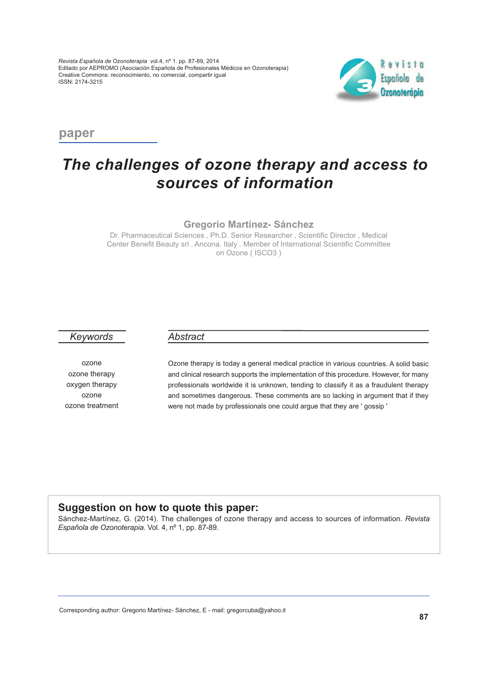

**paper**

# *The challenges of ozone therapy and access to sources of information*

**Gregorio Martínez- Sánchez**

Dr. Pharmaceutical Sciences , Ph.D. Senior Researcher , Scientific Director , Medical Center Benefit Beauty srl . Ancona. Italy . Member of International Scientific Committee on Ozone ( ISCO3 )

### *Keywords*

ozone ozone therapy oxygen therapy ozone ozone treatment

### *Abstract*

Ozone therapy is today <sup>a</sup> general medical practice in various countries. A solid basic and clinical research supports the implementation of this procedure. However, for many professionals worldwide it is unknown, tending to classify it as <sup>a</sup> fraudulent therapy and sometimes dangerous. These comments are so lacking in argument that if they were not made by professionals one could argue that they are ' gossip '

## **Suggestion on how to quote this paper:**

Sánchez-Martínez, G. (2014). The challenges of ozone therapy and access to sources of information. *Revista Española de Ozonoterapia*. Vol. 4, nº 1, pp. 87-89.

Corresponding author: Gregorio Martínez- Sánchez, E - mail: gregorcuba@yahoo.it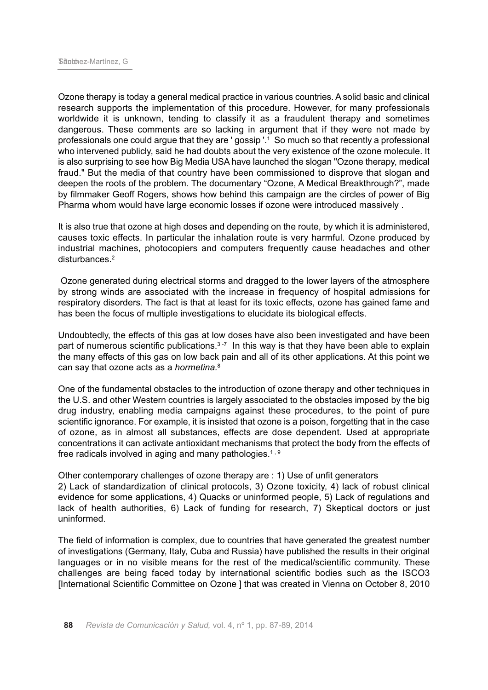Ozone therapy is today a general medical practice in various countries. A solid basic and clinical research supports the implementation of this procedure. However, for many professionals worldwide it is unknown, tending to classify it as a fraudulent therapy and sometimes dangerous. These comments are so lacking in argument that if they were not made by professionals one could argue that they are ' gossip '. <sup>1</sup> So much so that recently a professional who intervened publicly, said he had doubts about the very existence of the ozone molecule. It is also surprising to see how Big Media USA have launched the slogan "Ozone therapy, medical fraud." But the media of that country have been commissioned to disprove that slogan and deepen the roots of the problem. The documentary "Ozone, A Medical Breakthrough?", made by filmmaker Geoff Rogers, shows how behind this campaign are the circles of power of Big Pharma whom would have large economic losses if ozone were introduced massively .

It is also true that ozone at high doses and depending on the route, by which it is administered, causes toxic effects. In particular the inhalation route is very harmful. Ozone produced by industrial machines, photocopiers and computers frequently cause headaches and other disturbances. 2

Ozone generated during electrical storms and dragged to the lower layers of the atmosphere by strong winds are associated with the increase in frequency of hospital admissions for respiratory disorders. The fact is that at least for its toxic effects, ozone has gained fame and has been the focus of multiple investigations to elucidate its biological effects.

Undoubtedly, the effects of this gas at low doses have also been investigated and have been part of numerous scientific publications.<sup>3-7</sup> In this way is that they have been able to explain the many effects of this gas on low back pain and all of its other applications. At this point we can say that ozone acts as a *hormetina.* 8

One of the fundamental obstacles to the introduction of ozone therapy and other techniques in the U.S. and other Western countries is largely associated to the obstacles imposed by the big drug industry, enabling media campaigns against these procedures, to the point of pure scientific ignorance. For example, it is insisted that ozone is a poison, forgetting that in the case of ozone, as in almost all substances, effects are dose dependent. Used at appropriate concentrations it can activate antioxidant mechanisms that protect the body from the effects of free radicals involved in aging and many pathologies.<sup>1, 9</sup>

Other contemporary challenges of ozone therapy are : 1) Use of unfit generators 2) Lack of standardization of clinical protocols, 3) Ozone toxicity, 4) lack of robust clinical evidence for some applications, 4) Quacks or uninformed people, 5) Lack of regulations and lack of health authorities, 6) Lack of funding for research, 7) Skeptical doctors or just uninformed.

The field of information is complex, due to countries that have generated the greatest number of investigations (Germany, Italy, Cuba and Russia) have published the results in their original languages or in no visible means for the rest of the medical/scientific community. These challenges are being faced today by international scientific bodies such as the ISCO3 [International Scientific Committee on Ozone ] that was created in Vienna on October 8, 2010